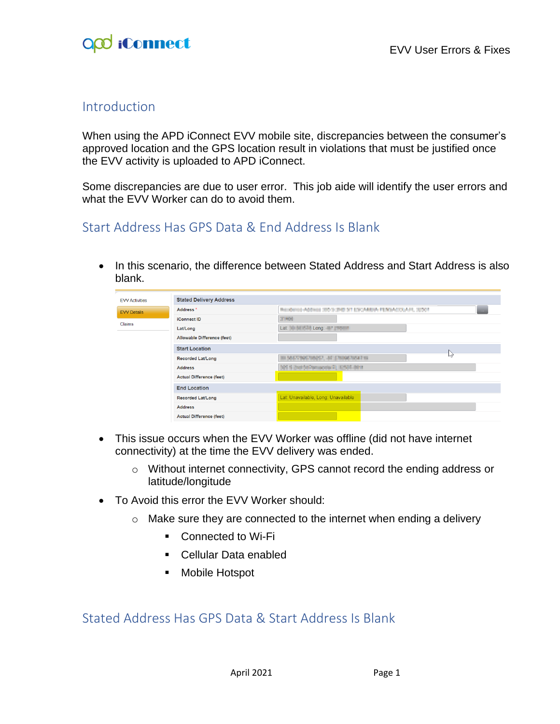#### Introduction

When using the APD iConnect EVV mobile site, discrepancies between the consumer's approved location and the GPS location result in violations that must be justified once the EVV activity is uploaded to APD iConnect.

Some discrepancies are due to user error. This job aide will identify the user errors and what the EVV Worker can do to avoid them.

#### Start Address Has GPS Data & End Address Is Blank

• In this scenario, the difference between Stated Address and Start Address is also blank.

| <b>EVV Activities</b> | <b>Stated Delivery Address</b>     |                                                         |                |  |  |  |
|-----------------------|------------------------------------|---------------------------------------------------------|----------------|--|--|--|
| <b>EVV Details</b>    | Address*                           | Rendered Address 300 to 240 ST ESCARDA FEMALOUAR, 32007 | <b>College</b> |  |  |  |
|                       | <b>iConnect ID</b>                 | 21400                                                   |                |  |  |  |
| Claims                | Lat/Long                           |                                                         |                |  |  |  |
|                       | <b>Allowable Difference (feet)</b> |                                                         |                |  |  |  |
|                       | <b>Start Location</b>              |                                                         | グ              |  |  |  |
|                       | <b>Recorded Lat/Long</b>           | METROTOGET, AT ENGOINGERS                               |                |  |  |  |
|                       | <b>Address</b>                     | 25 S 200 St Vincent C, 1250 St V                        |                |  |  |  |
|                       | <b>Actual Difference (feet)</b>    |                                                         |                |  |  |  |
|                       | <b>End Location</b>                |                                                         |                |  |  |  |
|                       | <b>Recorded Lat/Long</b>           | Lat: Unavailable, Long: Unavailable                     |                |  |  |  |
|                       | <b>Address</b>                     |                                                         |                |  |  |  |
|                       | <b>Actual Difference (feet)</b>    |                                                         |                |  |  |  |

- This issue occurs when the EVV Worker was offline (did not have internet connectivity) at the time the EVV delivery was ended.
	- o Without internet connectivity, GPS cannot record the ending address or latitude/longitude
- To Avoid this error the EVV Worker should:
	- $\circ$  Make sure they are connected to the internet when ending a delivery
		- Connected to Wi-Fi
		- Cellular Data enabled
		- Mobile Hotspot

#### Stated Address Has GPS Data & Start Address Is Blank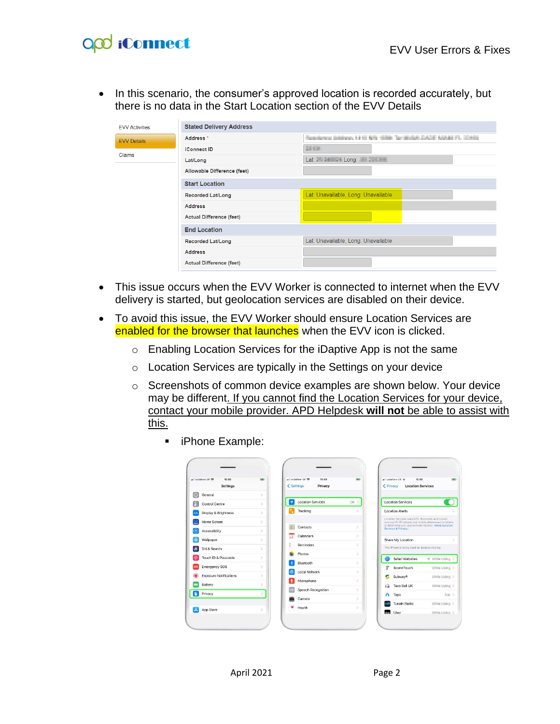# O<sub>co</sub> iConnect

• In this scenario, the consumer's approved location is recorded accurately, but there is no data in the Start Location section of the EVV Details

| <b>EVV Activities</b> | <b>Stated Delivery Address</b>                                                           |                                      |  |  |  |  |
|-----------------------|------------------------------------------------------------------------------------------|--------------------------------------|--|--|--|--|
| <b>FVV Details</b>    | Residence Johnson 13 to MN 1986. Territologi ZACE MANU FL 22/401<br>Address <sup>*</sup> |                                      |  |  |  |  |
| Claims                | <b>iConnect ID</b>                                                                       | 22104                                |  |  |  |  |
|                       | Lat/Long                                                                                 | Lat: 2 - 2 - 2 - Long: 2 - 2 - 2 - 2 |  |  |  |  |
|                       | Allowable Difference (feet)                                                              |                                      |  |  |  |  |
|                       | <b>Start Location</b>                                                                    |                                      |  |  |  |  |
|                       | <b>Recorded Lat/Long</b>                                                                 | Lat: Unavailable, Long: Unavailable  |  |  |  |  |
|                       | <b>Address</b>                                                                           |                                      |  |  |  |  |
|                       | <b>Actual Difference (feet)</b>                                                          |                                      |  |  |  |  |
|                       | <b>End Location</b>                                                                      |                                      |  |  |  |  |
|                       | <b>Recorded Lat/Long</b>                                                                 | Lat: Unavailable, Long: Unavailable  |  |  |  |  |
|                       | <b>Address</b>                                                                           |                                      |  |  |  |  |
|                       | <b>Actual Difference (feet)</b>                                                          |                                      |  |  |  |  |

- This issue occurs when the EVV Worker is connected to internet when the EVV delivery is started, but geolocation services are disabled on their device.
- To avoid this issue, the EVV Worker should ensure Location Services are enabled for the browser that launches when the EVV icon is clicked.
	- o Enabling Location Services for the iDaptive App is not the same
	- o Location Services are typically in the Settings on your device
	- o Screenshots of common device examples are shown below. Your device may be different. If you cannot find the Location Services for your device, contact your mobile provider. APD Helpdesk **will not** be able to assist with this.

|         | all vodafone UK<br>15:40<br>Settings | icta.         |                | all vodafone UK 学<br>15:40<br>< Settings<br>Privacy | 090           |                        | all vodafone UK<br>15:40<br>< Privacy<br><b>Location Services</b>                                                                                                    | ■国              |
|---------|--------------------------------------|---------------|----------------|-----------------------------------------------------|---------------|------------------------|----------------------------------------------------------------------------------------------------------------------------------------------------------------------|-----------------|
| $\odot$ | General                              | $\rightarrow$ |                |                                                     |               |                        |                                                                                                                                                                      |                 |
| g       | Control Centre                       | $\rightarrow$ | $\overline{1}$ | <b>Location Services</b>                            | On >          |                        | <b>Location Services</b>                                                                                                                                             |                 |
|         | Display & Brightness                 |               | Ы              | Tracking                                            | ь             |                        | <b>Location Alerts</b>                                                                                                                                               |                 |
| Đ       | Home Screen                          | ь             | 鱼              | Contacts                                            | $\mathcal{P}$ |                        | Location Services uses GPS. Bluetooth, and crowd-<br>sourced Wi-Fi hotspot and mobile phone mast locations<br>to determine your approximate location. About Location |                 |
|         | Accessibility                        | $\geq$        |                |                                                     |               |                        | Services & Privacy                                                                                                                                                   |                 |
|         | Wallpaper                            | $\rightarrow$ | 疆              | Calendars                                           | $\geq$        |                        | Share My Location                                                                                                                                                    |                 |
|         | Siri & Search                        | s             |                | Reminders                                           | $\mathcal{I}$ |                        | This iPhone is being used for location sharing.                                                                                                                      |                 |
|         | Touch ID & Passcode                  | $\geq$        |                | Photos                                              | $\rightarrow$ |                        | Safari Websites                                                                                                                                                      | - While Using > |
| \$06    | <b>Emergency SOS</b>                 | 5             |                | Bluetooth                                           | $\geq$        | $\widehat{\mathbf{x}}$ | Sound Touch                                                                                                                                                          | While Using >   |
|         | <b>Exposure Notifications</b>        | s             |                | Local Network                                       | s             | œ                      | Subway <sup>®</sup>                                                                                                                                                  | While Using >   |
|         | Battery                              |               |                | Microphone                                          | $\mathcal{S}$ | G                      | Taco Bell UK                                                                                                                                                         | While Using >   |
|         | Privacy                              |               |                | Speech Recognition                                  | $\rightarrow$ | ິ                      | Tapo                                                                                                                                                                 | $Ask$ >         |
|         |                                      |               |                | Camera                                              | $\rightarrow$ |                        | <b>Tuneln Radio</b>                                                                                                                                                  | While Using >   |
|         | App Store                            | s             |                | Health                                              | 5             | <b>Grad</b>            | <b>Uher</b>                                                                                                                                                          | While Lising    |

■ iPhone Example: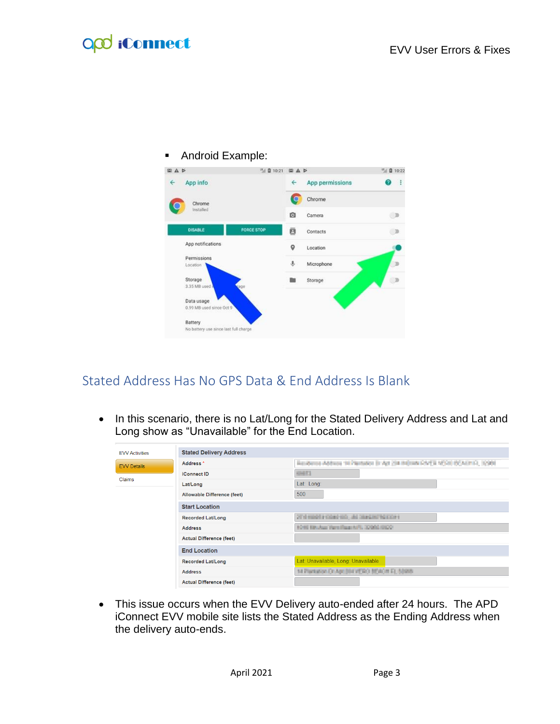## **QQ** iConnect

ſ



### Stated Address Has No GPS Data & End Address Is Blank

• In this scenario, there is no Lat/Long for the Stated Delivery Address and Lat and Long show as "Unavailable" for the End Location.

| <b>EVV Activities</b> | <b>Stated Delivery Address</b>  |                                                                                |
|-----------------------|---------------------------------|--------------------------------------------------------------------------------|
| <b>EVV Details</b>    | Address <sup>*</sup>            | Residence Address In Plantados (c Apt 234 m) cata RIM/EX 1/2010 BCASHIR, 12300 |
|                       | <b>iConnect ID</b>              | <b>GMES</b>                                                                    |
| Claims                | Lat/Long                        | Lat: Long:                                                                     |
|                       | Allowable Difference (feet)     | 500                                                                            |
|                       | <b>Start Location</b>           |                                                                                |
|                       | <b>Recorded Lat/Long</b>        | FEDERATING ALL GO GROUP EDGE FOR                                               |
|                       | <b>Address</b>                  | FOR ENAUL PASSWORK CORRECTOR                                                   |
|                       | <b>Actual Difference (feet)</b> |                                                                                |
|                       | <b>End Location</b>             |                                                                                |
|                       | <b>Recorded Lat/Long</b>        | Lat: Unavailable, Long: Unavailable                                            |
|                       | <b>Address</b>                  | 14 Parkation Dr Apt (104's ESA) BEACH FL 50995                                 |
|                       | <b>Actual Difference (feet)</b> |                                                                                |
|                       |                                 |                                                                                |

• This issue occurs when the EVV Delivery auto-ended after 24 hours. The APD iConnect EVV mobile site lists the Stated Address as the Ending Address when the delivery auto-ends.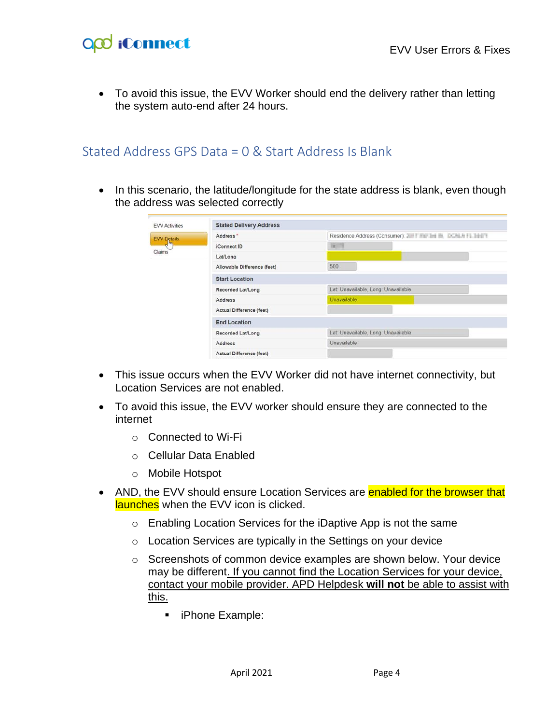## O<sub>co</sub> iConnect

• To avoid this issue, the EVV Worker should end the delivery rather than letting the system auto-end after 24 hours.

#### Stated Address GPS Data = 0 & Start Address Is Blank

• In this scenario, the latitude/longitude for the state address is blank, even though the address was selected correctly

| <b>EVV Activities</b> | <b>Stated Delivery Address</b>  |                                                                      |  |  |  |  |
|-----------------------|---------------------------------|----------------------------------------------------------------------|--|--|--|--|
| <b>EVV Details</b>    | Address *                       | Residence Address (Consumer): 2001 Fig. 2001 Fig. 1002 Fig. 11 The T |  |  |  |  |
| <b>Killian</b>        | <b>iConnect ID</b>              | $\frac{1}{2}$                                                        |  |  |  |  |
| Claims                | Lat/Long                        |                                                                      |  |  |  |  |
|                       | Allowable Difference (feet)     | 500                                                                  |  |  |  |  |
|                       | <b>Start Location</b>           |                                                                      |  |  |  |  |
|                       | Recorded Lat/Long               | Lat: Unavailable, Long: Unavailable                                  |  |  |  |  |
|                       | <b>Address</b>                  | Unavailable                                                          |  |  |  |  |
|                       | <b>Actual Difference (feet)</b> |                                                                      |  |  |  |  |
|                       | <b>End Location</b>             |                                                                      |  |  |  |  |
|                       | Recorded Lat/Long               | Lat: Unavailable, Long: Unavailable                                  |  |  |  |  |
|                       | Address                         | Unavailable                                                          |  |  |  |  |
|                       | <b>Actual Difference (feet)</b> |                                                                      |  |  |  |  |

- This issue occurs when the EVV Worker did not have internet connectivity, but Location Services are not enabled.
- To avoid this issue, the EVV worker should ensure they are connected to the internet
	- o Connected to Wi-Fi
	- o Cellular Data Enabled
	- o Mobile Hotspot
- AND, the EVV should ensure Location Services are enabled for the browser that launches when the EVV icon is clicked.
	- o Enabling Location Services for the iDaptive App is not the same
	- o Location Services are typically in the Settings on your device
	- o Screenshots of common device examples are shown below. Your device may be different. If you cannot find the Location Services for your device, contact your mobile provider. APD Helpdesk **will not** be able to assist with this.
		- iPhone Example: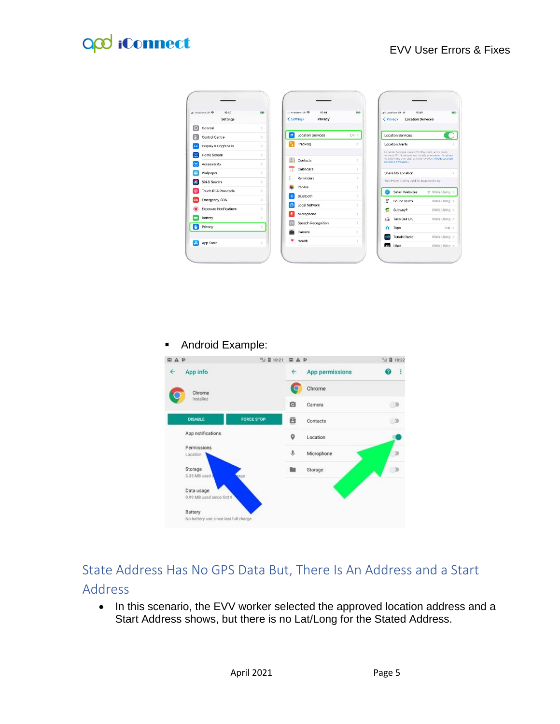## **QQ** iConnect

| all vodafone UK<br>15:40<br>Settings | icta)         |                          | all vodatone UK 学<br>15:40<br>< Settings<br>Privacy | (byt)         | < Privacy   | all vodafone UK<br>15:40<br><b>Location Services</b>                                                                                                                 | ■国              |
|--------------------------------------|---------------|--------------------------|-----------------------------------------------------|---------------|-------------|----------------------------------------------------------------------------------------------------------------------------------------------------------------------|-----------------|
| $\odot$<br>General                   | $\rightarrow$ |                          |                                                     |               |             |                                                                                                                                                                      |                 |
| B<br>Control Centre                  | 5             | $\overline{\mathcal{L}}$ | <b>Location Services</b>                            | $On$ >        |             | <b>Location Services</b>                                                                                                                                             |                 |
| Display & Brightness                 | 5             |                          | Tracking                                            | $\mathbf{r}$  |             | <b>Location Alerts</b>                                                                                                                                               |                 |
| 躢<br>Home Screen                     | $\rightarrow$ | 阊                        | Contacts                                            | 5             |             | Location Services uses GPS. Bluetooth, and crowd-<br>sourced Wi-Fi hotspot and mobile phone mast locations<br>to determine your approximate location. About Location |                 |
| Accessibility                        | $\rightarrow$ |                          |                                                     |               |             | Services & Privacy                                                                                                                                                   |                 |
| Wallpaper                            | $\rightarrow$ | 霊                        | Calendars                                           | $\rightarrow$ |             | Share My Location                                                                                                                                                    |                 |
| Siri & Search                        | s             | ٠                        | Reminders                                           | $\mathcal{I}$ |             | This iPhone is being used for location sharing.                                                                                                                      |                 |
| Touch ID & Passcode                  | $\rightarrow$ |                          | Photos                                              | $\rightarrow$ |             | Safari Websites                                                                                                                                                      | - While Using > |
| <b>Emergency SOS</b>                 | $\rightarrow$ |                          | Bluetooth                                           | $\mathcal{L}$ | F           | Sound Touch                                                                                                                                                          | While Using >   |
| <b>Exposure Notifications</b>        | $\rightarrow$ |                          | Local Network                                       | $\mathcal{S}$ | G           | Subway <sup>®</sup>                                                                                                                                                  | While Using >   |
| Battery                              | ь             |                          | Microphone                                          | $\rightarrow$ | ഭ           | Taco Bell UK                                                                                                                                                         | While Using >   |
| Privacy                              |               |                          | Speech Recognition                                  | $\rightarrow$ | n           | Tapo                                                                                                                                                                 | $Ask$ >         |
|                                      |               |                          | Camera                                              | $\rightarrow$ |             | <b>Tuneln Radio</b>                                                                                                                                                  | While Using >   |
| App Store                            | $\mathcal{P}$ |                          | Health                                              | $\mathcal{S}$ | <b>Line</b> | <b>Uher</b>                                                                                                                                                          |                 |

Android Example:



### State Address Has No GPS Data But, There Is An Address and a Start Address

• In this scenario, the EVV worker selected the approved location address and a Start Address shows, but there is no Lat/Long for the Stated Address.